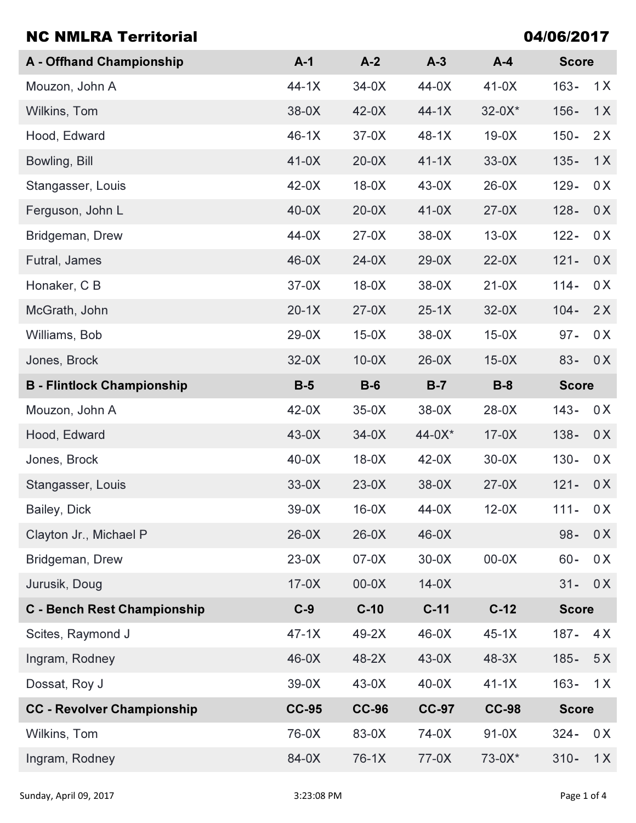| <b>NC NMLRA Territorial</b>        | 04/06/2017   |              |              |              |                |  |  |
|------------------------------------|--------------|--------------|--------------|--------------|----------------|--|--|
| <b>A</b> - Offhand Championship    | $A-1$        | $A-2$        | $A-3$        | $A-4$        | <b>Score</b>   |  |  |
| Mouzon, John A                     | $44-1X$      | $34-0X$      | 44-0X        | $41-0X$      | $163 -$<br>1X  |  |  |
| Wilkins, Tom                       | 38-0X        | $42-0X$      | $44-1X$      | $32 - 0X^*$  | $156 -$<br>1X  |  |  |
| Hood, Edward                       | $46-1X$      | $37-0X$      | $48-1X$      | $19-0X$      | $150 -$<br>2X  |  |  |
| Bowling, Bill                      | $41-0X$      | $20-0X$      | $41-1X$      | $33-0X$      | $135 -$<br>1X  |  |  |
| Stangasser, Louis                  | $42-0X$      | $18-0X$      | $43-0X$      | $26-0X$      | 0X<br>$129 -$  |  |  |
| Ferguson, John L                   | $40-0X$      | $20-0X$      | $41-0X$      | $27-0X$      | $128 -$<br>0X  |  |  |
| Bridgeman, Drew                    | 44-0X        | $27-0X$      | 38-0X        | $13-0X$      | $122 -$<br>0 X |  |  |
| Futral, James                      | $46-0X$      | $24-0X$      | $29-0X$      | $22-0X$      | $121 -$<br>0X  |  |  |
| Honaker, C B                       | $37-0X$      | $18-0X$      | 38-0X        | $21-0X$      | 0 X<br>$114 -$ |  |  |
| McGrath, John                      | $20-1X$      | $27-0X$      | $25-1X$      | $32-0X$      | 2X<br>$104 -$  |  |  |
| Williams, Bob                      | $29-0X$      | $15-0X$      | 38-0X        | $15-0X$      | $97 -$<br>0X   |  |  |
| Jones, Brock                       | $32-0X$      | $10-0X$      | $26-0X$      | $15-0X$      | $83 -$<br>0X   |  |  |
| <b>B</b> - Flintlock Championship  | $B-5$        | $B-6$        | $B-7$        | $B-8$        | <b>Score</b>   |  |  |
| Mouzon, John A                     | $42-0X$      | $35-0X$      | $38-0X$      | $28-0X$      | $143 -$<br>0 X |  |  |
| Hood, Edward                       | $43-0X$      | $34-0X$      | $44 - 0X^*$  | $17-0X$      | $138 -$<br>0X  |  |  |
| Jones, Brock                       | $40-0X$      | $18-0X$      | $42-0X$      | $30-0X$      | $130 -$<br>0X  |  |  |
| Stangasser, Louis                  | $33-0X$      | $23-0X$      | 38-0X        | $27-0X$      | $121 -$<br>0X  |  |  |
| Bailey, Dick                       | $39-0X$      | $16-0X$      | 44-0X        | $12-0X$      | $111 -$<br>0 X |  |  |
| Clayton Jr., Michael P             | $26-0X$      | $26-0X$      | 46-0X        |              | $98 -$<br>0X   |  |  |
| Bridgeman, Drew                    | $23-0X$      | $07-0X$      | $30-0X$      | $00-0X$      | $60 -$<br>0X   |  |  |
| Jurusik, Doug                      | $17-0X$      | $00-0X$      | $14-0X$      |              | $31 -$<br>0X   |  |  |
| <b>C</b> - Bench Rest Championship | $C-9$        | $C-10$       | $C-11$       | $C-12$       | <b>Score</b>   |  |  |
| Scites, Raymond J                  | $47-1X$      | $49-2X$      | 46-0X        | $45-1X$      | $187 -$<br>4X  |  |  |
| Ingram, Rodney                     | $46-0X$      | 48-2X        | $43-0X$      | $48-3X$      | $185 -$<br>5X  |  |  |
| Dossat, Roy J                      | $39-0X$      | $43-0X$      | $40-0X$      | $41-1X$      | 1X<br>$163 -$  |  |  |
| <b>CC - Revolver Championship</b>  | <b>CC-95</b> | <b>CC-96</b> | <b>CC-97</b> | <b>CC-98</b> | <b>Score</b>   |  |  |
| Wilkins, Tom                       | 76-0X        | 83-0X        | 74-0X        | $91-0X$      | 0X<br>$324 -$  |  |  |
| Ingram, Rodney                     | 84-0X        | $76-1X$      | 77-0X        | $73-0X*$     | $310 -$<br>1X  |  |  |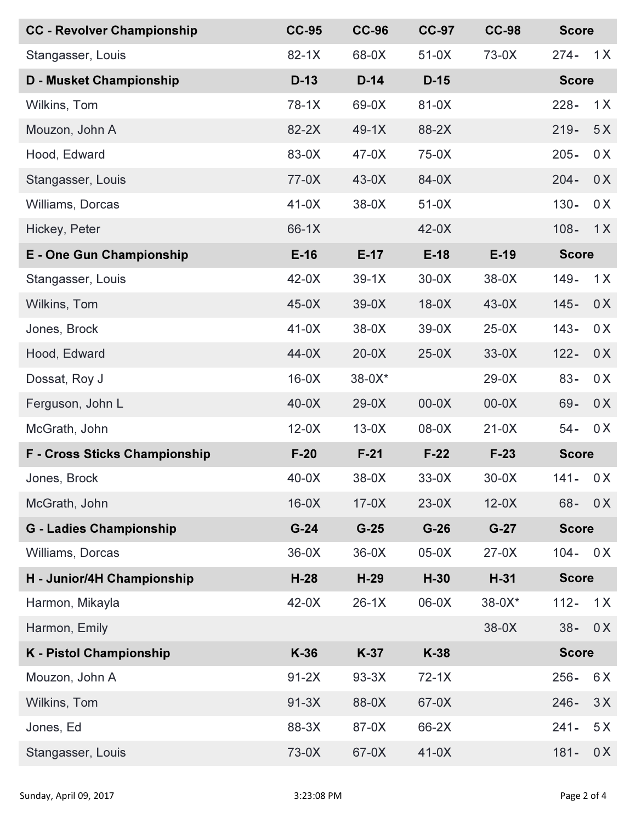| <b>CC - Revolver Championship</b>    | <b>CC-95</b> | <b>CC-96</b> | <b>CC-97</b> | <b>CC-98</b> | <b>Score</b> |              |  |
|--------------------------------------|--------------|--------------|--------------|--------------|--------------|--------------|--|
| Stangasser, Louis                    | $82-1X$      | 68-0X        | $51-0X$      | 73-0X        | $274 -$      | 1X           |  |
| <b>D - Musket Championship</b>       | $D-13$       | $D-14$       | $D-15$       |              |              | <b>Score</b> |  |
| Wilkins, Tom                         | $78-1X$      | 69-0X        | 81-0X        |              | $228 -$      | 1X           |  |
| Mouzon, John A                       | 82-2X        | $49-1X$      | 88-2X        |              | $219 -$      | 5X           |  |
| Hood, Edward                         | 83-0X        | $47-0X$      | 75-0X        |              | $205 -$      | 0 X          |  |
| Stangasser, Louis                    | $77-0X$      | $43-0X$      | 84-0X        |              | $204 -$      | 0X           |  |
| Williams, Dorcas                     | $41-0X$      | $38-0X$      | $51-0X$      |              | $130 -$      | 0 X          |  |
| Hickey, Peter                        | 66-1X        |              | $42-0X$      |              | $108 -$      | 1X           |  |
| <b>E</b> - One Gun Championship      | $E-16$       | $E-17$       | $E-18$       | $E-19$       | <b>Score</b> |              |  |
| Stangasser, Louis                    | $42-0X$      | $39-1X$      | $30-0X$      | $38-0X$      | $149 -$      | 1X           |  |
| Wilkins, Tom                         | $45-0X$      | $39-0X$      | $18-0X$      | $43-0X$      | $145 -$      | 0X           |  |
| Jones, Brock                         | $41-0X$      | $38-0X$      | $39-0X$      | $25-0X$      | $143 -$      | 0X           |  |
| Hood, Edward                         | $44-0X$      | $20-0X$      | $25-0X$      | $33-0X$      | $122 -$      | 0X           |  |
| Dossat, Roy J                        | $16-0X$      | 38-0X*       |              | $29-0X$      | $83 -$       | 0X           |  |
| Ferguson, John L                     | $40-0X$      | $29-0X$      | $00-0X$      | $00-0X$      | 69-          | 0X           |  |
| McGrath, John                        | $12-0X$      | $13-0X$      | $08-0X$      | $21-0X$      | $54 -$       | 0X           |  |
| <b>F</b> - Cross Sticks Championship | $F-20$       | $F-21$       | $F-22$       | $F-23$       |              | <b>Score</b> |  |
| Jones, Brock                         | $40-0X$      | 38-0X        | $33-0X$      | $30-0X$      | $141 -$      | 0 X          |  |
| McGrath, John                        | $16-0X$      | $17-0X$      | $23-0X$      | $12-0X$      | $68 -$       | 0X           |  |
| <b>G</b> - Ladies Championship       | $G-24$       | $G-25$       | $G-26$       | $G-27$       | <b>Score</b> |              |  |
| Williams, Dorcas                     | $36-0X$      | $36-0X$      | $05-0X$      | $27-0X$      | $104 -$      | 0X           |  |
| H - Junior/4H Championship           | $H-28$       | $H-29$       | $H-30$       | $H-31$       |              | <b>Score</b> |  |
| Harmon, Mikayla                      | $42-0X$      | $26-1X$      | $06-0X$      | $38 - 0X^*$  | $112 -$      | 1X           |  |
| Harmon, Emily                        |              |              |              | $38-0X$      | $38 -$       | 0X           |  |
| <b>K</b> - Pistol Championship       | $K-36$       | $K-37$       | K-38         |              |              | <b>Score</b> |  |
| Mouzon, John A                       | $91-2X$      | $93-3X$      | $72-1X$      |              | $256 -$      | 6X           |  |
| Wilkins, Tom                         | $91-3X$      | 88-0X        | 67-0X        |              | $246 -$      | 3X           |  |
| Jones, Ed                            | 88-3X        | 87-0X        | 66-2X        |              | $241 -$      | 5X           |  |
| Stangasser, Louis                    | 73-0X        | 67-0X        | $41-0X$      |              | $181 -$      | 0X           |  |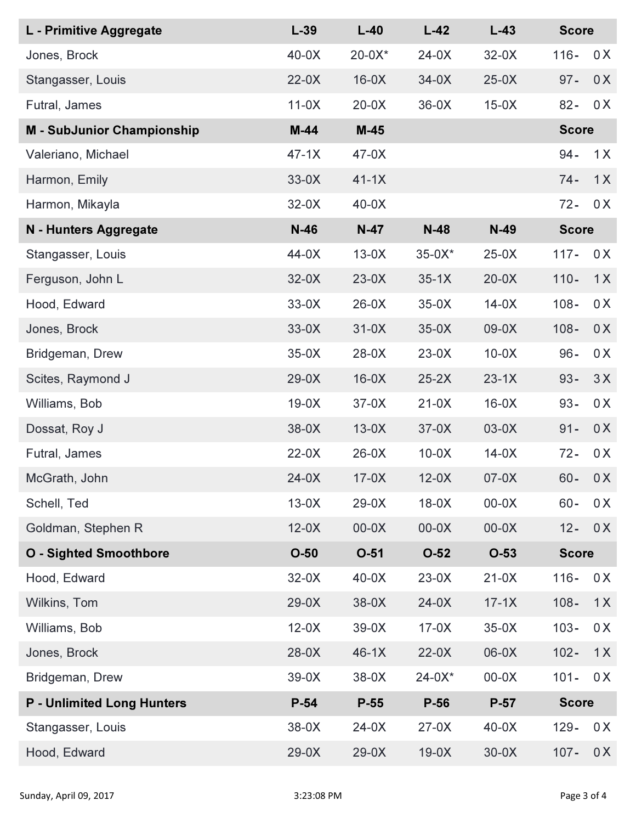| L - Primitive Aggregate           | $L-39$  | $L-40$    | $L-42$   | $L-43$  | <b>Score</b> |              |  |
|-----------------------------------|---------|-----------|----------|---------|--------------|--------------|--|
| Jones, Brock                      | $40-0X$ | $20-0X^*$ | $24-0X$  | $32-0X$ | $116 -$      | 0X           |  |
| Stangasser, Louis                 | $22-0X$ | $16-0X$   | $34-0X$  | $25-0X$ | $97 -$       | 0X           |  |
| Futral, James                     | $11-0X$ | $20-0X$   | $36-0X$  | $15-0X$ | $82 -$       | 0X           |  |
| <b>M</b> - SubJunior Championship | $M-44$  | $M-45$    |          |         |              | <b>Score</b> |  |
| Valeriano, Michael                | $47-1X$ | $47-0X$   |          |         | $94 -$       | 1X           |  |
| Harmon, Emily                     | $33-0X$ | $41-1X$   |          |         | $74 -$       | 1X           |  |
| Harmon, Mikayla                   | $32-0X$ | $40-0X$   |          |         | $72 -$       | 0X           |  |
| N - Hunters Aggregate             | $N-46$  | $N-47$    | $N-48$   | $N-49$  |              | <b>Score</b> |  |
| Stangasser, Louis                 | 44-0X   | $13-0X$   | $35-0X*$ | $25-0X$ | $117 -$      | 0 X          |  |
| Ferguson, John L                  | $32-0X$ | $23-0X$   | $35-1X$  | $20-0X$ | $110 -$      | 1X           |  |
| Hood, Edward                      | $33-0X$ | $26-0X$   | $35-0X$  | $14-0X$ | $108 -$      | 0X           |  |
| Jones, Brock                      | $33-0X$ | $31-0X$   | $35-0X$  | $09-0X$ | $108 -$      | 0X           |  |
| Bridgeman, Drew                   | $35-0X$ | $28-0X$   | $23-0X$  | $10-0X$ | $96 -$       | 0X           |  |
| Scites, Raymond J                 | $29-0X$ | $16-0X$   | $25-2X$  | $23-1X$ | $93 -$       | 3X           |  |
| Williams, Bob                     | $19-0X$ | $37-0X$   | $21-0X$  | $16-0X$ | $93 -$       | 0X           |  |
| Dossat, Roy J                     | $38-0X$ | $13-0X$   | $37-0X$  | $03-0X$ | $91 -$       | 0X           |  |
| Futral, James                     | $22-0X$ | $26-0X$   | $10-0X$  | $14-0X$ | $72 -$       | 0X           |  |
| McGrath, John                     | $24-0X$ | $17-0X$   | $12-0X$  | $07-0X$ | $60 -$       | 0X           |  |
| Schell, Ted                       | $13-0X$ | $29-0X$   | $18-0X$  | $00-0X$ | $60 -$       | 0 X          |  |
| Goldman, Stephen R                | $12-0X$ | $00-0X$   | $00-0X$  | $00-0X$ | $12 -$       | 0X           |  |
| <b>O</b> - Sighted Smoothbore     | $O-50$  | $O-51$    | $O-52$   | $O-53$  | <b>Score</b> |              |  |
| Hood, Edward                      | $32-0X$ | $40-0X$   | $23-0X$  | $21-0X$ | $116 -$      | 0X           |  |
| Wilkins, Tom                      | $29-0X$ | $38-0X$   | $24-0X$  | $17-1X$ | $108 -$      | 1X           |  |
| Williams, Bob                     | $12-0X$ | $39-0X$   | $17-0X$  | $35-0X$ | $103 -$      | 0X           |  |
| Jones, Brock                      | $28-0X$ | $46-1X$   | $22-0X$  | 06-0X   | $102 -$      | 1X           |  |
| Bridgeman, Drew                   | $39-0X$ | $38-0X$   | $24-0X*$ | $00-0X$ | $101 -$      | 0X           |  |
| <b>P</b> - Unlimited Long Hunters | $P-54$  | $P-55$    | $P-56$   | $P-57$  |              | <b>Score</b> |  |
| Stangasser, Louis                 | $38-0X$ | $24-0X$   | $27-0X$  | $40-0X$ | $129 -$      | 0X           |  |
| Hood, Edward                      | $29-0X$ | $29-0X$   | $19-0X$  | $30-0X$ | $107 -$      | 0X           |  |